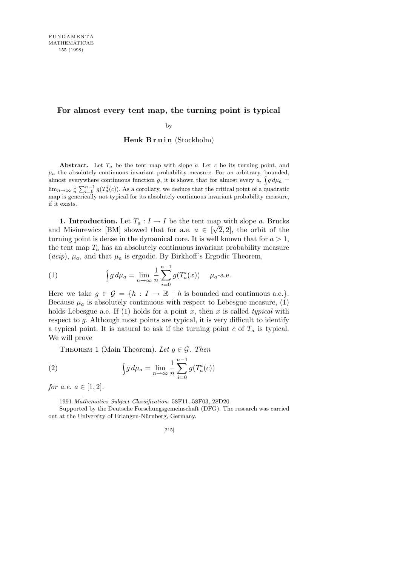### **For almost every tent map, the turning point is typical**

by

**Henk Bruin** (Stockholm)

**Abstract.** Let  $T_a$  be the tent map with slope  $a$ . Let  $c$  be its turning point, and  $\mu_a$  the absolutely continuous invariant probability measure. For an arbitrary, bounded, almost everywhere continuous function *g*, it is shown that for almost every *a*,  $\int g d\mu_a =$  $\lim_{n\to\infty} \frac{1}{n} \sum_{i=0}^{n-1} g(T_a^i(c))$ . As a corollary, we deduce that the critical point of a quadratic map is generically not typical for its absolutely continuous invariant probability measure, if it exists.

**1. Introduction.** Let  $T_a: I \to I$  be the tent map with slope *a*. Brucks and Misiurewicz [BM] showed that for a.e.  $a \in [\sqrt{2}, 2]$ , the orbit of the turning point is dense in the dynamical core. It is well known that for  $a > 1$ , the tent map  $T_a$  has an absolutely continuous invariant probability measure  $(acip)$ ,  $\mu_a$ , and that  $\mu_a$  is ergodic. By Birkhoff's Ergodic Theorem,

(1) 
$$
\int g d\mu_a = \lim_{n \to \infty} \frac{1}{n} \sum_{i=0}^{n-1} g(T_a^i(x)) \mu_a \text{-a.e.}
$$

Here we take  $g \in \mathcal{G} = \{h : I \to \mathbb{R} \mid h \text{ is bounded and continuous a.e.}\}.$ Because  $\mu_a$  is absolutely continuous with respect to Lebesgue measure, (1) holds Lebesgue a.e. If (1) holds for a point *x*, then *x* is called *typical* with respect to *g*. Although most points are typical, it is very difficult to identify a typical point. It is natural to ask if the turning point  $c$  of  $T_a$  is typical. We will prove

THEOREM 1 (Main Theorem). Let  $q \in \mathcal{G}$ . Then

(2) 
$$
\int g d\mu_a = \lim_{n \to \infty} \frac{1}{n} \sum_{i=0}^{n-1} g(T_a^i(c))
$$

*for a.e.*  $a \in [1, 2]$ *.* 

<sup>1991</sup> *Mathematics Subject Classification*: 58F11, 58F03, 28D20.

Supported by the Deutsche Forschungsgemeinschaft (DFG). The research was carried out at the University of Erlangen-Nürnberg, Germany.

<sup>[215]</sup>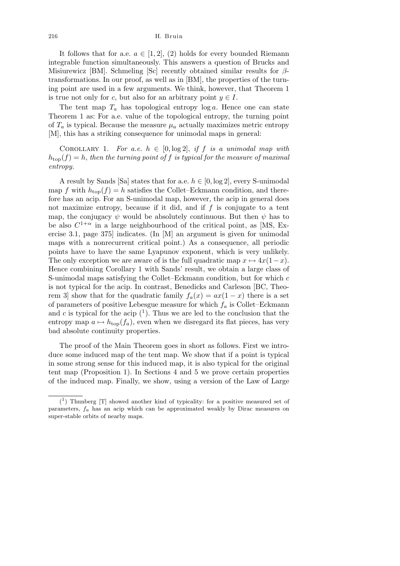It follows that for a.e.  $a \in [1, 2]$ , (2) holds for every bounded Riemann integrable function simultaneously. This answers a question of Brucks and Misiurewicz [BM]. Schmeling [Sc] recently obtained similar results for *β*transformations. In our proof, as well as in [BM], the properties of the turning point are used in a few arguments. We think, however, that Theorem 1 is true not only for *c*, but also for an arbitrary point  $y \in I$ .

The tent map  $T_a$  has topological entropy  $\log a$ . Hence one can state Theorem 1 as: For a.e. value of the topological entropy, the turning point of  $T_a$  is typical. Because the measure  $\mu_a$  actually maximizes metric entropy [M], this has a striking consequence for unimodal maps in general:

COROLLARY 1. *For a.e.*  $h \in [0, \log 2]$ , *if*  $f$  *is a unimodal map with*  $h_{\text{top}}(f) = h$ , *then the turning point of f is typical for the measure of maximal entropy.*

A result by Sands [Sa] states that for a.e.  $h \in [0, \log 2]$ , every S-unimodal map f with  $h_{\text{top}}(f) = h$  satisfies the Collet–Eckmann condition, and therefore has an acip. For an S-unimodal map, however, the acip in general does not maximize entropy, because if it did, and if *f* is conjugate to a tent map, the conjugacy  $\psi$  would be absolutely continuous. But then  $\psi$  has to be also  $C^{1+\alpha}$  in a large neighbourhood of the critical point, as [MS, Exercise 3.1, page 375] indicates. (In [M] an argument is given for unimodal maps with a nonrecurrent critical point.) As a consequence, all periodic points have to have the same Lyapunov exponent, which is very unlikely. The only exception we are aware of is the full quadratic map  $x \mapsto 4x(1-x)$ . Hence combining Corollary 1 with Sands' result, we obtain a large class of S-unimodal maps satisfying the Collet–Eckmann condition, but for which *c* is not typical for the acip. In contrast, Benedicks and Carleson [BC, Theorem 3] show that for the quadratic family  $f_a(x) = ax(1-x)$  there is a set of parameters of positive Lebesgue measure for which *f<sup>a</sup>* is Collet–Eckmann and  $c$  is typical for the acip  $(1)$ . Thus we are led to the conclusion that the entropy map  $a \mapsto h_{\text{top}}(f_a)$ , even when we disregard its flat pieces, has very bad absolute continuity properties.

The proof of the Main Theorem goes in short as follows. First we introduce some induced map of the tent map. We show that if a point is typical in some strong sense for this induced map, it is also typical for the original tent map (Proposition 1). In Sections 4 and 5 we prove certain properties of the induced map. Finally, we show, using a version of the Law of Large

 $(1)$  Thunberg [T] showed another kind of typicality: for a positive measured set of parameters, *fa* has an acip which can be approximated weakly by Dirac measures on super-stable orbits of nearby maps.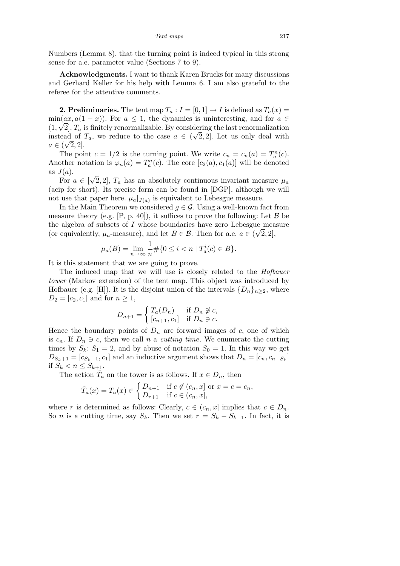Numbers (Lemma 8), that the turning point is indeed typical in this strong sense for a.e. parameter value (Sections 7 to 9).

**Acknowledgments.** I want to thank Karen Brucks for many discussions and Gerhard Keller for his help with Lemma 6. I am also grateful to the referee for the attentive comments.

**2. Preliminaries.** The tent map  $T_a: I = [0, 1] \rightarrow I$  is defined as  $T_a(x) =$  $\min(ax, a(1-x))$ . For  $a \leq 1$ , the dynamics is uninteresting, and for  $a \in \mathbb{R}$  $(1, \sqrt{2}]$ ,  $T_a$  is finitely renormalizable. By considering the last renormalization instead of  $T_a$ , we reduce to the case  $a \in (\sqrt{2}, 2]$ . Let us only deal with  $a \in (\sqrt{2}, 2].$ 

The point  $c = 1/2$  is the turning point. We write  $c_n = c_n(a) = T_a^n(c)$ . Another notation is  $\varphi_n(a) = T_a^n(c)$ . The core  $[c_2(a), c_1(a)]$  will be denoted as  $J(a)$ . *√*

For  $a \in [$ 2, 2],  $T_a$  has an absolutely continuous invariant measure  $\mu_a$ (acip for short). Its precise form can be found in [DGP], although we will not use that paper here.  $\mu_a|_{J(a)}$  is equivalent to Lebesgue measure.

In the Main Theorem we considered  $g \in \mathcal{G}$ . Using a well-known fact from measure theory (e.g.  $[P, p. 40]$ ), it suffices to prove the following: Let  $\beta$  be the algebra of subsets of *I* whose boundaries have zero Lebesgue measure *√* (or equivalently,  $\mu_a$ -measure), and let  $B \in \mathcal{B}$ . Then for a.e.  $a \in (\sqrt{2}, 2]$ ,

$$
\mu_a(B) = \lim_{n \to \infty} \frac{1}{n} \# \{ 0 \le i < n \mid T_a^i(c) \in B \}.
$$

It is this statement that we are going to prove.

The induced map that we will use is closely related to the *Hofbauer tower* (Markov extension) of the tent map. This object was introduced by Hofbauer (e.g. [H]). It is the disjoint union of the intervals  $\{D_n\}_{n\geq 2}$ , where  $D_2 = [c_2, c_1]$  and for  $n \geq 1$ ,

$$
D_{n+1} = \begin{cases} T_a(D_n) & \text{if } D_n \not\supseteq c, \\ [c_{n+1}, c_1] & \text{if } D_n \ni c. \end{cases}
$$

Hence the boundary points of  $D_n$  are forward images of  $c$ , one of which is  $c_n$ . If  $D_n \ni c$ , then we call *n* a *cutting time*. We enumerate the cutting times by  $S_k$ :  $S_1 = 2$ , and by abuse of notation  $S_0 = 1$ . In this way we get  $D_{S_k+1} = [c_{S_k+1}, c_1]$  and an inductive argument shows that  $D_n = [c_n, c_{n-S_k}]$ if  $S_k < n \leq S_{k+1}$ .

The action  $\overline{T}_a$  on the tower is as follows. If  $x \in D_n$ , then

$$
\check{T}_a(x) = T_a(x) \in \begin{cases} D_{n+1} & \text{if } c \notin (c_n, x] \text{ or } x = c = c_n, \\ D_{n+1} & \text{if } c \in (c_n, x], \end{cases}
$$

where *r* is determined as follows: Clearly,  $c \in (c_n, x]$  implies that  $c \in D_n$ . So *n* is a cutting time, say  $S_k$ . Then we set  $r = S_k - S_{k-1}$ . In fact, it is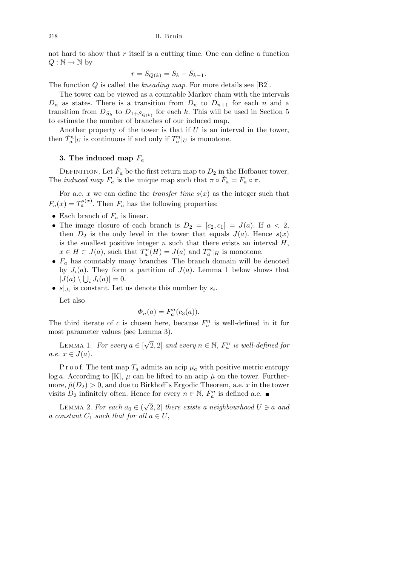not hard to show that *r* itself is a cutting time. One can define a function  $Q : \mathbb{N} \to \mathbb{N}$  by

$$
r = S_{Q(k)} = S_k - S_{k-1}.
$$

The function *Q* is called the *kneading map*. For more details see [B2].

The tower can be viewed as a countable Markov chain with the intervals  $D_n$  as states. There is a transition from  $D_n$  to  $D_{n+1}$  for each *n* and a transition from  $D_{S_k}$  to  $D_{1+S_{Q(k)}}$  for each k. This will be used in Section 5 to estimate the number of branches of our induced map.

Another property of the tower is that if *U* is an interval in the tower, then  $\check{T}_a^n|_U$  is continuous if and only if  $T_a^n|_U$  is monotone.

## **3. The induced map** *F<sup>a</sup>*

DEFINITION. Let  $\check{F}_a$  be the first return map to  $D_2$  in the Hofbauer tower. The *induced map*  $F_a$  is the unique map such that  $\pi \circ \check{F}_a = F_a \circ \pi$ .

For a.e. *x* we can define the *transfer time*  $s(x)$  as the integer such that  $F_a(x) = T_a^{s(x)}$ . Then  $F_a$  has the following properties:

- *•* Each branch of *F<sup>a</sup>* is linear.
- The image closure of each branch is  $D_2 = [c_2, c_1] = J(a)$ . If  $a < 2$ , then  $D_2$  is the only level in the tower that equals  $J(a)$ . Hence  $s(x)$ is the smallest positive integer  $n$  such that there exists an interval  $H$ ,  $x \in H \subset J(a)$ , such that  $T_a^n(H) = J(a)$  and  $T_a^n|_H$  is monotone.
- $F_a$  has countably many branches. The branch domain will be denoted by  $J_i(a)$ . They form a partition of  $J(a)$ . Lemma 1 below shows that  $|J(a) \setminus \bigcup_i J_i(a)| = 0.$
- $s|_{J_i}$  is constant. Let us denote this number by  $s_i$ .

Let also

$$
\Phi_n(a) = F_a^n(c_3(a)).
$$

The third iterate of *c* is chosen here, because  $F_a^n$  is well-defined in it for most parameter values (see Lemma 3).

LEMMA 1. *For every*  $a \in \lbrack$ *√*  $\overline{2}$ , 2] and every  $n \in \mathbb{N}$ ,  $F_a^n$  is well-defined for  $a.e. \ x \in J(a).$ 

P r o o f. The tent map  $T_a$  admits an acip  $\mu_a$  with positive metric entropy log *a*. According to [K],  $\mu$  can be lifted to an acip  $\tilde{\mu}$  on the tower. Furthermore,  $\mu(D_2) > 0$ , and due to Birkhoff's Ergodic Theorem, a.e. *x* in the tower visits  $D_2$  infinitely often. Hence for every  $n \in \mathbb{N}$ ,  $F_a^n$  is defined a.e.

LEMMA 2. For each  $a_0 \in ($ *√*  $[2, 2]$  *there exists a neighbourhood*  $U \ni a$  *and a* constant  $C_1$  *such that for all*  $a \in U$ ,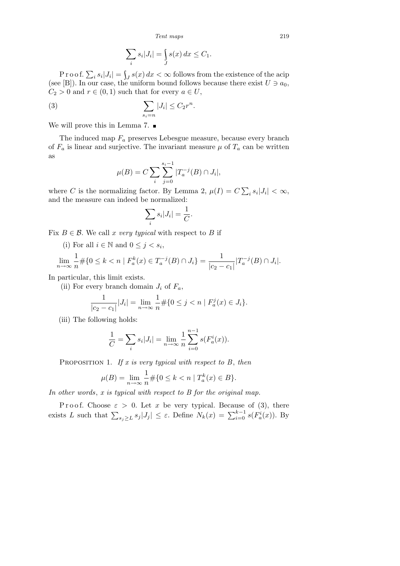*Tent maps* 219

$$
\sum_{i} s_i |J_i| = \int_{J} s(x) dx \le C_1.
$$

Proof.  $\sum_i s_i |J_i| = \int_J s(x) dx < \infty$  follows from the existence of the acip (see [B]). In our case, the uniform bound follows because there exist  $U \ni a_0$ ,  $C_2 > 0$  and  $r \in (0,1)$  such that for every  $a \in U$ ,

$$
\sum_{s_i=n}|J_i| \leq C_2 r^n.
$$

We will prove this in Lemma 7.  $\blacksquare$ 

The induced map *F<sup>a</sup>* preserves Lebesgue measure, because every branch of  $F_a$  is linear and surjective. The invariant measure  $\mu$  of  $T_a$  can be written as

$$
\mu(B) = C \sum_{i} \sum_{j=0}^{s_i - 1} |T_a^{-j}(B) \cap J_i|,
$$

where *C* is the normalizing factor. By Lemma 2,  $\mu(I) = C$  $\overline{ }$  $s_i |J_i| < \infty$ , and the measure can indeed be normalized:

$$
\sum_i s_i |J_i| = \frac{1}{C}.
$$

Fix  $B \in \mathcal{B}$ . We call *x very typical* with respect to *B* if

(i) For all  $i \in \mathbb{N}$  and  $0 \leq j < s_i$ ,

$$
\lim_{n \to \infty} \frac{1}{n} \# \{ 0 \le k < n \mid F_a^k(x) \in T_a^{-j}(B) \cap J_i \} = \frac{1}{|c_2 - c_1|} |T_a^{-j}(B) \cap J_i|.
$$

In particular, this limit exists.

(ii) For every branch domain  $J_i$  of  $F_a$ ,

$$
\frac{1}{|c_2 - c_1|} |J_i| = \lim_{n \to \infty} \frac{1}{n} \# \{ 0 \le j < n \mid F_a^j(x) \in J_i \}.
$$

(iii) The following holds:

$$
\frac{1}{C} = \sum_{i} s_i |J_i| = \lim_{n \to \infty} \frac{1}{n} \sum_{i=0}^{n-1} s(F_a^i(x)).
$$

Proposition 1. *If x is very typical with respect to B*, *then*

$$
\mu(B) = \lim_{n \to \infty} \frac{1}{n} \# \{ 0 \le k < n \mid T_a^k(x) \in B \}.
$$

*In other words*, *x is typical with respect to B for the original map.*

Proof. Choose  $\varepsilon > 0$ . Let *x* be very typical. Because of (3), there exists L such that  $\sum_{s_j \geq L} s_j |J_j| \leq \varepsilon$ . Define  $N_k(x) = \sum_{i=0}^{k-1} s(F_a^i(x))$ . By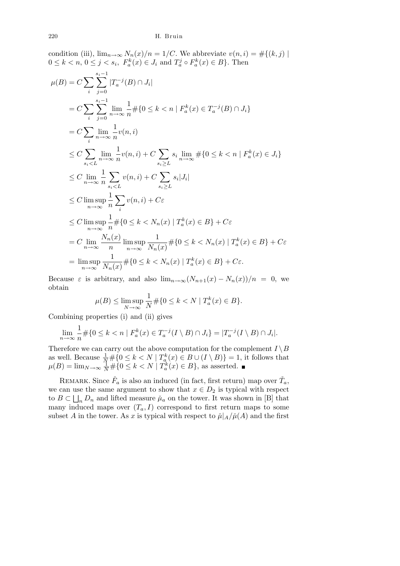condition (iii), 
$$
\lim_{n\to\infty} N_n(x)/n = 1/C
$$
. We abbreviate  $v(n, i) = #\{(k, j) \mid$   
\n $0 \le k < n, 0 \le j < s_i, F_a^k(x) \in J_i$  and  $T_a^j \circ F_a^k(x) \in B$ . Then  
\n
$$
\mu(B) = C \sum_i \sum_{j=0}^{s_i-1} |T_a^{-j}(B) \cap J_i|
$$
\n
$$
= C \sum_i \sum_{j=0}^{s_i-1} \lim_{n\to\infty} \frac{1}{n} #\{0 \le k < n \mid F_a^k(x) \in T_a^{-j}(B) \cap J_i\}
$$
\n
$$
= C \sum_i \lim_{n\to\infty} \frac{1}{n} v(n, i)
$$
\n
$$
\le C \sum_{s_i < L} \lim_{n\to\infty} \frac{1}{n} v(n, i) + C \sum_{s_i \ge L} s_i \lim_{n\to\infty} #\{0 \le k < n \mid F_a^k(x) \in J_i\}
$$
\n
$$
\le C \lim_{n\to\infty} \frac{1}{n} \sum_{s_i < L} v(n, i) + C \sum_{s_i \ge L} s_i |J_i|
$$
\n
$$
\le C \limsup_{n\to\infty} \frac{1}{n} \sum_i v(n, i) + C\varepsilon
$$
\n
$$
\le C \limsup_{n\to\infty} \frac{1}{n} \sum_{i} v(n, i) + C\varepsilon
$$
\n
$$
\le C \limsup_{n\to\infty} \frac{1}{n} #\{0 \le k < N_n(x) \mid T_a^k(x) \in B\} + C\varepsilon
$$
\n
$$
= C \lim_{n\to\infty} \frac{N_n(x)}{n} \limsup_{n\to\infty} \frac{1}{N_n(x)} #\{0 \le k < N_n(x) \mid T_a^k(x) \in B\} + C\varepsilon
$$
\n
$$
= \limsup_{n\to\infty} \frac{1}{N_n(x)} #\{0 \le k < N_n(x) \mid T_a^k(x) \in B\} + C\varepsilon
$$
\n
$$
= \limsup_{n\to\infty} \frac{1}{N_n(x)} #\{0 \le k < N_n(x) \mid T_a^k(x) \in B\} + C\varepsilon
$$

Because  $\varepsilon$  is arbitrary, and also  $\lim_{n\to\infty} (N_{n+1}(x) - N_n(x))/n = 0$ , we obtain

$$
\mu(B) \le \limsup_{N \to \infty} \frac{1}{N} \# \{ 0 \le k < N \mid T_a^k(x) \in B \}.
$$

Combining properties (i) and (ii) gives

$$
\lim_{n \to \infty} \frac{1}{n} \# \{ 0 \le k < n \mid F_a^k(x) \in T_a^{-j}(I \setminus B) \cap J_i \} = |T_a^{-j}(I \setminus B) \cap J_i|.
$$

Therefore we can carry out the above computation for the complement  $I \setminus B$ as well. Because  $\frac{1}{N} \# \{0 \leq k < N \mid T_a^k(x) \in B \cup (I \setminus B)\} = 1$ , it follows that  $\mu(B) = \lim_{N \to \infty} \frac{1}{N} \# \{0 \leq k < N \mid T_a^k(x) \in B\}$ , as asserted.

REMARK. Since  $\check{F}_a$  is also an induced (in fact, first return) map over  $\check{T}_a$ , we can use the same argument to show that  $x \in D_2$  is typical with respect to  $B \subset \bigsqcup_n D_n$  and lifted measure  $\mu_a$  on the tower. It was shown in [B] that many induced maps over  $(T_a, I)$  correspond to first return maps to some subset *A* in the tower. As *x* is typical with respect to  $\tilde{\mu}|_A/\tilde{\mu}(A)$  and the first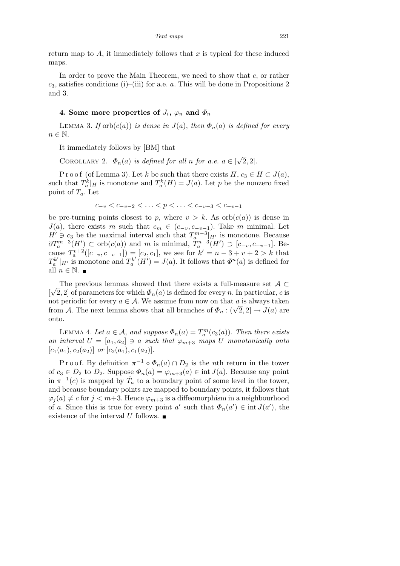return map to *A*, it immediately follows that *x* is typical for these induced maps.

In order to prove the Main Theorem, we need to show that *c*, or rather *c*3, satisfies conditions (i)–(iii) for a.e. *a*. This will be done in Propositions 2 and 3.

# **4.** Some more properties of  $J_i$ ,  $\varphi_n$  and  $\Phi_n$

LEMMA 3. *If*  $orb(c(a))$  *is dense in*  $J(a)$ , *then*  $\Phi_n(a)$  *is defined for every*  $n \in \mathbb{N}$ .

It immediately follows by [BM] that

COROLLARY 2.  $\Phi_n(a)$  *is defined for all n for a.e.*  $a \in \mathbb{R}$ *√* 2*,* 2]*.*

Proof (of Lemma 3). Let *k* be such that there exists  $H, c_3 \in H \subset J(a)$ , such that  $T_a^k|_H$  is monotone and  $T_a^k(H) = J(a)$ . Let *p* be the nonzero fixed point of *Ta*. Let

$$
c_{-v} < c_{-v-2} < \ldots < p < \ldots < c_{-v-3} < c_{-v-1}
$$

be pre-turning points closest to *p*, where  $v > k$ . As  $orb(c(a))$  is dense in *J*(*a*), there exists *m* such that  $c_m \in (c_{-v}, c_{-v-1})$ . Take *m* minimal. Let *H*<sup> $'$ </sup> ∋  $c_3$  be the maximal interval such that  $T_a^{m-3}|_{H'}$  is monotone. Because  $\partial T_a^{m-3}(H') \subset \text{orb}(c(a))$  and m is minimal,  $T_a^{n-3}(H') \supset [c_{-v}, c_{-v-1}]$ . Be- $\max_{a} P_a^{v+2}([c_{-v}, c_{-v-1}]) = [c_2, c_1],$  we see for  $k' = n - 3 + v + 2 > k$  that  $T_a^{k'}|_{H'}$  is monotone and  $T_a^{k'}(H') = J(a)$ . It follows that  $\Phi^n(a)$  is defined for all  $n \in \mathbb{N}$ .  $\blacksquare$ 

The previous lemmas showed that there exists a full-measure set *A ⊂* [ *√* 2, 2] of parameters for which  $\Phi_n(a)$  is defined for every *n*. In particular, *c* is not periodic for every  $a \in \mathcal{A}$ . We assume from now on that a is always taken from *A*. The next lemma shows that all branches of  $\Phi_n : (\sqrt{2}, 2] \to J(a)$  are onto.

LEMMA 4. Let  $a \in \mathcal{A}$ , and suppose  $\Phi_n(a) = T_a^m(c_3(a))$ . Then there exists *an interval*  $U = [a_1, a_2] \ni a$  *such that*  $\varphi_{m+3}$  *maps*  $U$  *monotonically onto*  $[c_1(a_1), c_2(a_2)]$  *or*  $[c_2(a_1), c_1(a_2)]$ .

Proof. By definition  $\pi^{-1} \circ \Phi_n(a) \cap D_2$  is the *n*th return in the tower of  $c_3 \in D_2$  to  $D_2$ . Suppose  $\Phi_n(a) = \varphi_{m+3}(a) \in \text{int } J(a)$ . Because any point in  $\pi^{-1}(c)$  is mapped by  $\check{T}_a$  to a boundary point of some level in the tower, and because boundary points are mapped to boundary points, it follows that  $\varphi_i(a) \neq c$  for  $j < m+3$ . Hence  $\varphi_{m+3}$  is a diffeomorphism in a neighbourhood of *a*. Since this is true for every point *a'* such that  $\Phi_n(a') \in \text{int } J(a')$ , the existence of the interval *U* follows.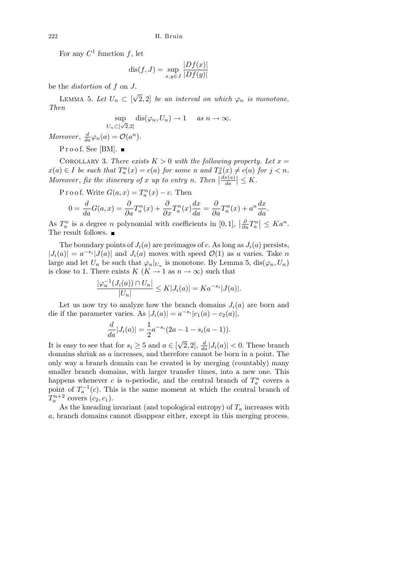For any  $C^1$  function  $f$ , let

$$
dis(f, J) = \sup_{x, y \in J} \frac{|Df(x)|}{|Df(y)|}
$$

be the *distortion* of *f* on *J*.

LEMMA 5. Let  $U_n \subset [$ *√*  $\overline{2}$ , 2] *be an interval on which*  $\varphi_n$  *is monotone. Then*

$$
\sup_{n \subset [\sqrt{2},2]} \operatorname{dis}(\varphi_n, U_n) \to 1 \quad \text{as } n \to \infty.
$$

*Moreover*,  $\frac{d}{da}\varphi_n(a) = \mathcal{O}(a^n)$ *.* 

 $U$ 

 $Proof. See [BM].$ 

COROLLARY 3. *There exists*  $K > 0$  *with the following property. Let*  $x =$  $x(a) \in I$  be such that  $T_a^n(x) = c(a)$  for some n and  $T_a^j(x) \neq c(a)$  for  $j < n$ . *Moreover*, *fix the itinerary of x up to entry n. Then*  $\frac{dx(a)}{da}$  $\left|\frac{x(a)}{da}\right| \leq K.$ 

P r o o f. Write  $G(a, x) = T_a^n(x) - c$ . Then

$$
0 = \frac{d}{da}G(a,x) = \frac{\partial}{\partial a}T_a^n(x) + \frac{\partial}{\partial x}T_a^n(x)\frac{dx}{da} = \frac{\partial}{\partial a}T_a^n(x) + a^n\frac{dx}{da}.
$$

As  $T_a^n$  is a degree *n* polynomial with coefficients in  $[0, 1]$ ,  $\frac{\partial}{\partial a} T_a^n$  *≤ Ka<sup>n</sup>*. The result follows.  $\blacksquare$ 

The boundary points of  $J_i(a)$  are preimages of *c*. As long as  $J_i(a)$  persists,  $|J_i(a)| = a^{-s_i} |J(a)|$  and  $J_i(a)$  moves with speed  $\mathcal{O}(1)$  as *a* varies. Take *n* large and let  $U_n$  be such that  $\varphi_n|_{U_n}$  is monotone. By Lemma 5,  $dis(\varphi_n, U_n)$ is close to 1. There exists  $K$  ( $K \to 1$  as  $n \to \infty$ ) such that

$$
\frac{|\varphi_n^{-1}(J_i(a)) \cap U_n|}{|U_n|} \le K|J_i(a)| = Ka^{-s_i}|J(a)|.
$$

Let us now try to analyze how the branch domains  $J_i(a)$  are born and die if the parameter varies. As  $|J_i(a)| = a^{-s_i} |c_1(a) - c_2(a)|$ ,

$$
\frac{d}{da}|J_i(a)| = \frac{1}{2}a^{-s_i}(2a - 1 - s_i(a - 1)).
$$

It is easy to see that for  $s_i \geq 5$  and  $a \in [$  $\sqrt{2}$ , 2],  $\frac{d}{da}$  | $J_i(a)$ | < 0. These branch domains shrink as *a* increases, and therefore cannot be born in a point. The only way a branch domain can be created is by merging (countably) many smaller branch domains, with larger transfer times, into a new one. This happens whenever *c* is *n*-periodic, and the central branch of  $T_a^n$  covers a point of  $T_a^{-1}(c)$ . This is the same moment at which the central branch of  $T_a^{n+2}$  covers  $(c_2, c_1)$ .

As the kneading invariant (and topological entropy) of  $T_a$  increases with *a*, branch domains cannot disappear either, except in this merging process.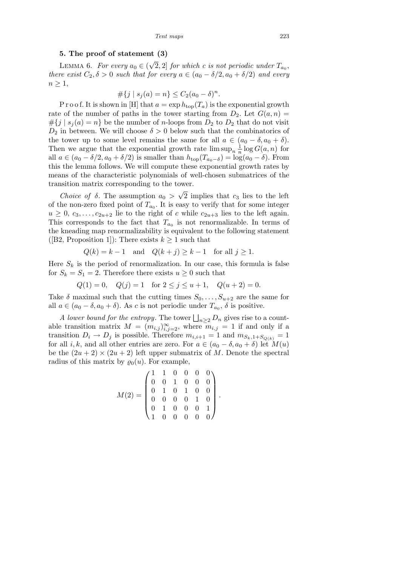#### **5. The proof of statement (3)**

LEMMA 6. *For every*  $a_0 \in$  ( *√*  $\overline{2}$ , 2] *for which c is not periodic under*  $T_{a_0}$ , *there exist*  $C_2$ ,  $\delta > 0$  *such that for every*  $a \in (a_0 - \delta/2, a_0 + \delta/2)$  *and every*  $n \geq 1$ ,

$$
\#\{j \mid s_j(a) = n\} \le C_2(a_0 - \delta)^n.
$$

P r o o f. It is shown in [H] that  $a = \exp h_{\text{top}}(T_a)$  is the exponential growth rate of the number of paths in the tower starting from  $D_2$ . Let  $G(a, n)$  $#{j | s_j(a) = n}$  be the number of *n*-loops from  $D_2$  to  $D_2$  that do not visit  $D_2$  in between. We will choose  $\delta > 0$  below such that the combinatorics of the tower up to some level remains the same for all  $a \in (a_0 - \delta, a_0 + \delta)$ . Then we argue that the exponential growth rate  $\limsup_{n} \frac{1}{n}$  $\frac{1}{n}$  log  $G(a, n)$  for all  $a \in (a_0 - \delta/2, a_0 + \delta/2)$  is smaller than  $h_{\text{top}}(T_{a_0-\delta}) = \log(a_0 - \delta)$ . From this the lemma follows. We will compute these exponential growth rates by means of the characteristic polynomials of well-chosen submatrices of the transition matrix corresponding to the tower. *√*

*Choice of*  $\delta$ . The assumption  $a_0$ 2 implies that *c*<sup>3</sup> lies to the left of the non-zero fixed point of  $T_{a_0}$ . It is easy to verify that for some integer  $u \geq 0$ ,  $c_3, \ldots, c_{2u+2}$  lie to the right of *c* while  $c_{2u+3}$  lies to the left again. This corresponds to the fact that  $T_{a_0}$  is not renormalizable. In terms of the kneading map renormalizability is equivalent to the following statement ([B2, Proposition 1]): There exists  $k \geq 1$  such that

$$
Q(k) = k - 1 \quad \text{and} \quad Q(k + j) \ge k - 1 \quad \text{for all } j \ge 1.
$$

Here  $S_k$  is the period of renormalization. In our case, this formula is false for  $S_k = S_1 = 2$ . Therefore there exists  $u \geq 0$  such that

$$
Q(1) = 0
$$
,  $Q(j) = 1$  for  $2 \le j \le u + 1$ ,  $Q(u + 2) = 0$ .

Take  $\delta$  maximal such that the cutting times  $S_0, \ldots, S_{u+2}$  are the same for all  $a \in (a_0 - \delta, a_0 + \delta)$ . As *c* is not periodic under  $T_{a_0}$ ,  $\delta$  is positive.

*A lower bound for the entropy.* The tower  $\bigsqcup_{n>2} D_n$  gives rise to a countable transition matrix  $M = (m_{i,j})_{i,j=2}^{\infty}$ , where  $m_{i,j} = 1$  if and only if a transition  $D_i \rightarrow D_j$  is possible. Therefore  $m_{i,i+1} = 1$  and  $m_{S_k,1+S_{Q(k)}} = 1$ for all *i, k*, and all other entries are zero. For  $a \in (a_0 - \delta, a_0 + \delta)$  let  $M(u)$ be the  $(2u + 2) \times (2u + 2)$  left upper submatrix of *M*. Denote the spectral radius of this matrix by  $\rho_0(u)$ . For example,

$$
M(2) = \begin{pmatrix} 1 & 1 & 0 & 0 & 0 & 0 \\ 0 & 0 & 1 & 0 & 0 & 0 \\ 0 & 1 & 0 & 1 & 0 & 0 \\ 0 & 0 & 0 & 0 & 1 & 0 \\ 0 & 1 & 0 & 0 & 0 & 1 \\ 1 & 0 & 0 & 0 & 0 & 0 \end{pmatrix}.
$$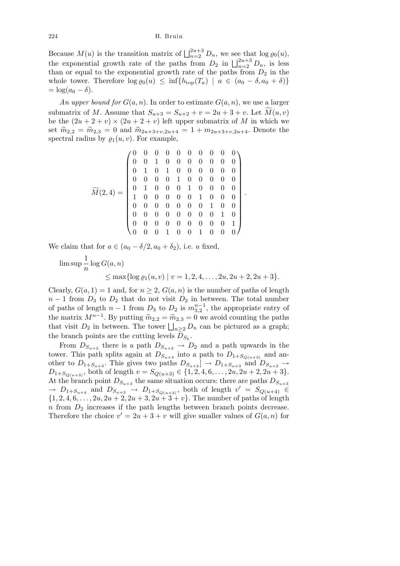Because  $M(u)$  is the transition matrix of  $\prod_{n=2}^{2u+3} D_n$ , we see that  $\log \varrho_0(u)$ , the exponential growth rate of the paths from  $D_2$  in  $\bigcup_{n=2}^{2u+3} D_n$ , is less than or equal to the exponential growth rate of the paths from  $D_2$  in the whole tower. Therefore  $\log \varrho_0(u) \leq \inf \{ h_{\text{top}}(T_a) \mid a \in (a_0 - \delta, a_0 + \delta) \}$  $=$  log( $a_0 - \delta$ ).

An upper bound for  $G(a, n)$ . In order to estimate  $G(a, n)$ , we use a larger submatrix of *M*. Assume that  $S_{u+3} = S_{u+2} + v = 2u + 3 + v$ . Let  $M(u, v)$ be the  $(2u + 2 + v) \times (2u + 2 + v)$  left upper submatrix of *M* in which we set  $\widetilde{m}_{2,2} = \widetilde{m}_{2,3} = 0$  and  $\widetilde{m}_{2u+3+v,2u+4} = 1 + m_{2u+3+v,2u+4}$ . Denote the spectral radius by  $\rho_1(u, v)$ . For example,

*M*f(2*,* 4) = 0 0 0 0 0 0 0 0 0 0 0 0 1 0 0 0 0 0 0 0 0 1 0 1 0 0 0 0 0 0 0 0 0 0 1 0 0 0 0 0 0 1 0 0 0 1 0 0 0 0 1 0 0 0 0 0 1 0 0 0 0 0 0 0 0 0 0 1 0 0 0 0 0 0 0 0 0 0 1 0 0 0 0 0 0 0 0 0 0 1 0 0 0 1 0 0 1 0 0 0 *.*

We claim that for  $a \in (a_0 - \delta/2, a_0 + \delta_2)$ , i.e. *u* fixed,

$$
\limsup \frac{1}{n} \log G(a, n) \le \max \{ \log \varrho_1(u, v) \mid v = 1, 2, 4, \dots, 2u, 2u + 2, 2u + 3 \}.
$$

Clearly,  $G(a, 1) = 1$  and, for  $n \geq 2$ ,  $G(a, n)$  is the number of paths of length  $n-1$  from  $D_3$  to  $D_2$  that do not visit  $D_2$  in between. The total number of paths of length  $n-1$  from  $D_3$  to  $D_2$  is  $m_{3,2}^{n-1}$ , the appropriate entry of the matrix  $M^{n-1}$ . By putting  $\widetilde{m}_{2,2} = \widetilde{m}_{2,3} = 0$  we avoid counting the paths the matrix  $M^2$ . By putting  $m_{2,2} = m_{2,3} = 0$  we avoid counting the paths that visit  $D_2$  in between. The tower  $\bigsqcup_{n\geq 2} D_n$  can be pictured as a graph; the branch points are the cutting levels  $D_{S_k}$ .

From  $D_{S_{u+2}}$  there is a path  $D_{S_{u+2}} \to D_2$  and a path upwards in the tower. This path splits again at  $D_{S_{u+3}}$  into a path to  $D_{1+S_{Q(u+3)}}$  and another to  $D_{1+S_{u+3}}$ . This gives two paths  $D_{S_{u+2}} \to D_{1+S_{u+3}}$  and  $D_{S_{u+2}} \to$  $D_{1+S_{O(n+3)}},$  both of length  $v = S_{Q(n+3)} \in \{1, 2, 4, 6, \ldots, 2u, 2u + 2, 2u + 3\}.$ At the branch point  $D_{S_{u+3}}$  the same situation occurs: there are paths  $D_{S_{u+3}}$  $\rightarrow$  *D*<sub>1+*S*<sup>*u*+4</sub></sup> and *D<sub>S<sup><i>u*+3</sub></sup> → *D*<sub>1+*S*<sub>*Q*</sub>(*u*+4)</sub>, both of length *v*<sup>*'*</sup> = *S*<sub>*Q*(*u*+4)</sub>  $\in$ </sub></sub>  $\{1, 2, 4, 6, \ldots, 2u, 2u + 2, 2u + 3, 2u + 3 + v\}$ . The number of paths of length  $n$  from  $D_2$  increases if the path lengths between branch points decrease. Therefore the choice  $v' = 2u + 3 + v$  will give smaller values of  $G(a, n)$  for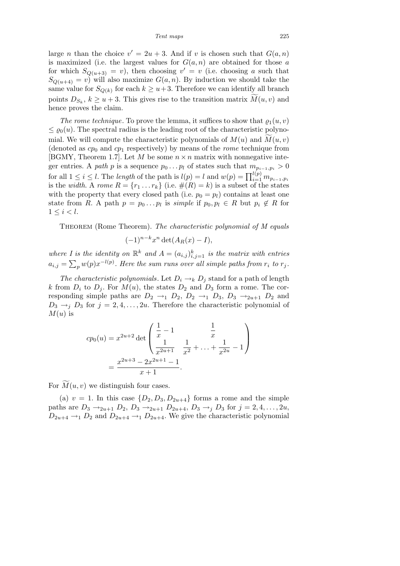large *n* than the choice  $v' = 2u + 3$ . And if *v* is chosen such that  $G(a, n)$ is maximized (i.e. the largest values for  $G(a, n)$  are obtained for those  $a$ for which  $S_{Q(u+3)} = v$ , then choosing  $v' = v$  (i.e. choosing *a* such that  $S_{Q(u+4)} = v$  will also maximize  $G(a, n)$ . By induction we should take the same value for  $S_{Q(k)}$  for each  $k \geq u+3$ . Therefore we can identify all branch points  $D_{S_k}, k \geq u+3$ . This gives rise to the transition matrix  $\widetilde{M}(u, v)$  and hence proves the claim.

*The rome technique*. To prove the lemma, it suffices to show that  $\rho_1(u, v)$  $\leq \varrho_0(u)$ . The spectral radius is the leading root of the characteristic polynomial. We will compute the characteristic polynomials of  $M(u)$  and  $M(u, v)$ (denoted as  $cp_0$  and  $cp_1$  respectively) by means of the *rome* technique from [BGMY, Theorem 1.7]. Let *M* be some  $n \times n$  matrix with nonnegative integer entries. A *path p* is a sequence  $p_0 \nldots p_l$  of states such that  $m_{p_{i-1},p_i} > 0$ for all  $1 \leq i \leq l$ . The *length* of the path is  $l(p) = l$  and  $w(p) = \prod_{i=1}^{l(p)} m_{p_{i-1},p_i}$ is the *width*. A *rome*  $R = \{r_1 \dots r_k\}$  (i.e.  $\#(R) = k$ ) is a subset of the states with the property that every closed path (i.e.  $p_0 = p_l$ ) contains at least one state from *R*. A path  $p = p_0 \dots p_l$  is *simple* if  $p_0, p_l \in R$  but  $p_i \notin R$  for  $1 \leq i < l$ .

Theorem (Rome Theorem). *The characteristic polynomial of M equals*

$$
(-1)^{n-k}x^n \det(A_R(x) - I),
$$

where *I* is the identity on  $\mathbb{R}^k$  and  $A = (a_{i,j})_{i,j=1}^k$  is the matrix with entries  $a_{i,j} = \sum_{p} w(p)x^{-l(p)}$ . Here the sum runs over all simple paths from  $r_i$  to  $r_j$ .

*The characteristic polynomials*. Let  $D_i \rightarrow k D_j$  stand for a path of length *k* from  $D_i$  to  $D_j$ . For  $M(u)$ , the states  $D_2$  and  $D_3$  form a rome. The corresponding simple paths are  $D_2 \rightarrow 1$   $D_2$ ,  $D_2 \rightarrow 1$   $D_3$ ,  $D_3 \rightarrow 2u+1$   $D_2$  and  $D_3 \rightarrow_i D_3$  for  $j = 2, 4, \ldots, 2u$ . Therefore the characteristic polynomial of  $M(u)$  is

$$
cp_0(u) = x^{2u+2} \det \begin{pmatrix} \frac{1}{x} - 1 & \frac{1}{x} \\ \frac{1}{x^{2u+1}} & \frac{1}{x^2} + \dots + \frac{1}{x^{2u}} - 1 \end{pmatrix}
$$
  
= 
$$
\frac{x^{2u+3} - 2x^{2u+1} - 1}{x+1}.
$$

For  $M(u, v)$  we distinguish four cases.

(a)  $v = 1$ . In this case  $\{D_2, D_3, D_{2u+4}\}\)$  forms a rome and the simple paths are  $D_3 \rightarrow_{2u+1} D_2$ ,  $D_3 \rightarrow_{2u+1} D_{2u+4}$ ,  $D_3 \rightarrow_j D_3$  for  $j = 2, 4, ..., 2u$ ,  $D_{2u+4} \rightarrow D_{2}$  and  $D_{2u+4} \rightarrow D_{2u+4}$ . We give the characteristic polynomial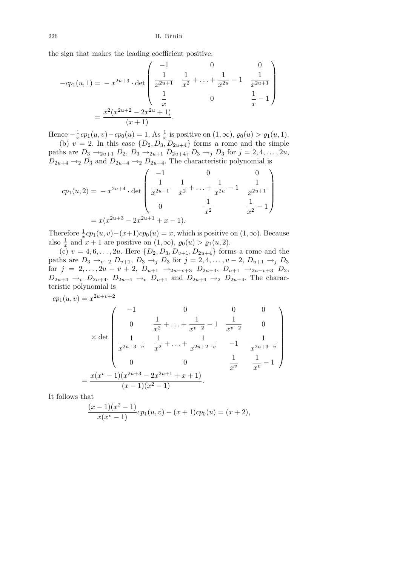the sign that makes the leading coefficient positive:  $^{\circ}$  ,

$$
-cp_1(u,1) = -x^{2u+3} \cdot \det \begin{pmatrix} -1 & 0 & 0 \\ \frac{1}{x^{2u+1}} & \frac{1}{x^2} + \dots + \frac{1}{x^{2u}} - 1 & \frac{1}{x^{2u+1}} \\ \frac{1}{x} & 0 & \frac{1}{x} - 1 \end{pmatrix}
$$

$$
= \frac{x^2(x^{2u+2} - 2x^{2u} + 1)}{(x+1)}.
$$

Hence *−* 1  $\frac{1}{x}$ *cp*<sub>1</sub>(*u, v*) *− cp*<sub>0</sub>(*u*) = 1. As  $\frac{1}{x}$  is positive on (1, ∞),  $\varrho_0(u) > \varrho_1(u, 1)$ . (b)  $v = 2$ . In this case  $\{D_2, D_3, D_{2u+4}\}\)$  forms a rome and the simple

paths are  $D_3 \rightarrow_{2u+1} D_2$ ,  $D_3 \rightarrow_{2u+1} D_{2u+4}$ ,  $D_3 \rightarrow_j D_3$  for  $j = 2, 4, ..., 2u$ ,  $D_{2u+4} \rightarrow 2 D_3$  and  $D_{2u+4} \rightarrow 2 D_{2u+4}$ . The characteristic polynomial is  $2a + 3$ 

$$
cp_1(u, 2) = -x^{2u+4} \cdot det \begin{pmatrix} -1 & 0 & 0 \ \frac{1}{x^{2u+1}} & \frac{1}{x^2} + \dots + \frac{1}{x^{2u}} - 1 & \frac{1}{x^{2u+1}} \\ 0 & \frac{1}{x^2} & \frac{1}{x^2} - 1 \end{pmatrix}
$$

$$
= x(x^{2u+3} - 2x^{2u+1} + x - 1).
$$

Therefore  $\frac{1}{x}c p_1(u, v) - (x+1)c p_0(u) = x$ , which is positive on  $(1, \infty)$ . Because also  $\frac{1}{x}$  and  $x + 1$  are positive on  $(1, \infty)$ ,  $\varrho_0(u) > \varrho_1(u, 2)$ .

(c)  $v = 4, 6, \ldots, 2u$ . Here  $\{D_2, D_3, D_{v+1}, D_{2u+4}\}$  forms a rome and the paths are  $D_3 \to_{v-2} D_{v+1}$ ,  $D_3 \to_{j} D_3$  for  $j = 2, 4, ..., v-2$ ,  $D_{u+1} \to_{j} D_3$ for  $j = 2, ..., 2u - v + 2, D_{u+1} \rightarrow_{2u-v+3} D_{2u+4}, D_{u+1} \rightarrow_{2u-v+3} D_2$  $D_{2u+4} \to v$   $D_{2u+4}$ ,  $D_{2u+4} \to v$   $D_{u+1}$  and  $D_{2u+4} \to v$   $D_{2u+4}$ . The characteristic polynomial is

$$
cp_1(u, v) = x^{2u+v+2}
$$
  
\n
$$
\times det \begin{pmatrix}\n-1 & 0 & 0 & 0 \\
0 & \frac{1}{x^2} + \dots + \frac{1}{x^{v-2}} - 1 & \frac{1}{x^{v-2}} & 0 \\
\frac{1}{x^{2u+3-v}} & \frac{1}{x^2} + \dots + \frac{1}{x^{2u+2-v}} & -1 & \frac{1}{x^{2u+3-v}} \\
0 & 0 & \frac{1}{x^v} & \frac{1}{x^v} - 1\n\end{pmatrix}
$$
  
\n
$$
= \frac{x(x^v - 1)(x^{2u+3} - 2x^{2u+1} + x + 1)}{(x-1)(x^2 - 1)}.
$$

It follows that

$$
\frac{(x-1)(x^2-1)}{x(x^v-1)}cp_1(u,v) - (x+1)cp_0(u) = (x+2),
$$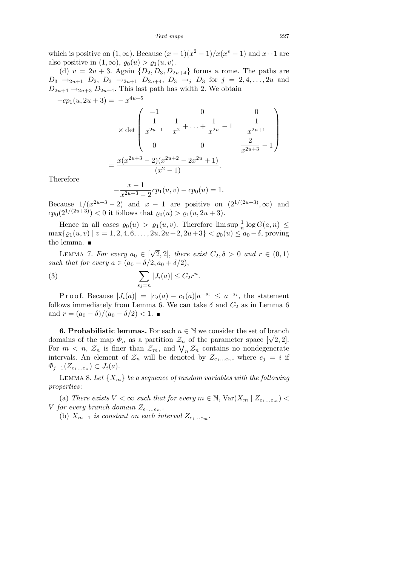*Tent maps* 227

which is positive on  $(1, \infty)$ . Because  $(x - 1)(x^2 - 1)/x(x^2 - 1)$  and  $x + 1$  are also positive in  $(1, \infty)$ ,  $\varrho_0(u) > \varrho_1(u, v)$ .

(d)  $v = 2u + 3$ . Again  $\{D_2, D_3, D_{2u+4}\}\$ forms a rome. The paths are *D*<sub>3</sub> →<sub>2*u*+1</sub> *D*<sub>2</sub>, *D*<sub>3</sub> →<sub>2*u*+1</sub> *D*<sub>2*u*+4</sub>, *D*<sub>3</sub> →<sub>*j*</sub> *D*<sub>3</sub> for *j* = 2*,* 4*, . . . ,* 2*u* and  $D_{2u+4} \rightarrow_{2u+3} D_{2u+4}$ . This last path has width 2. We obtain

$$
-cp_1(u, 2u + 3) = -x^{4u+5}
$$
  
\n
$$
\times \det \begin{pmatrix} -1 & 0 & 0 \\ \frac{1}{x^{2u+1}} & \frac{1}{x^2} + \dots + \frac{1}{x^{2u}} - 1 & \frac{1}{x^{2u+1}} \\ 0 & 0 & \frac{2}{x^{2u+3}} - 1 \end{pmatrix}
$$
  
\n
$$
= \frac{x(x^{2u+3} - 2)(x^{2u+2} - 2x^{2u} + 1)}{(x^2 - 1)}.
$$

Therefore

$$
-\frac{x-1}{x^{2u+3}-2}cp_1(u,v)-cp_0(u)=1.
$$

Because  $1/(x^{2u+3}-2)$  and  $x-1$  are positive on  $(2^{1/(2u+3)}, \infty)$  and  $cp_0(2^{1/(2u+3)}) < 0$  it follows that  $\varrho_0(u) > \varrho_1(u, 2u+3)$ .

Hence in all cases  $\varrho_0(u) > \varrho_1(u, v)$ . Therefore  $\limsup \frac{1}{n} \log G(a, n) \leq$  $\max\{ \varrho_1(u, v) | v = 1, 2, 4, 6, \ldots, 2u, 2u+2, 2u+3 \} < \varrho_0(u) ≤ a_0 - \delta$ , proving the lemma.  $\blacksquare$ *√*

LEMMA 7. *For every*  $a_0 \in$  $\overline{2}$ , 2], there exist  $C_2$ ,  $\delta > 0$  and  $r \in (0,1)$ *such that for every*  $a \in (a_0 - \delta/2, a_0 + \delta/2)$ ,

(3) 
$$
\sum_{s_j = n}^{\infty} |J_i(a)| \le C_2 r^n.
$$

Proof. Because  $|J_i(a)| = |c_2(a) - c_1(a)|a^{-s_i} \le a^{-s_i}$ , the statement follows immediately from Lemma 6. We can take  $\delta$  and  $C_2$  as in Lemma 6 and  $r = (a_0 - \delta)/(a_0 - \delta/2) < 1$ . ■

**6. Probabilistic lemmas.** For each  $n \in \mathbb{N}$  we consider the set of branch **o. Probabilistic lemmas.** For each  $n \in \mathbb{N}$  we consider the set of branch domains of the map  $\Phi_n$  as a partition  $\mathcal{Z}_n$  of the parameter space  $[\sqrt{2}, 2]$ . For  $m < n$ ,  $\mathcal{Z}_n$  is finer than  $\mathcal{Z}_m$ , and  $\bigvee_n \mathcal{Z}_n$  contains no nondegenerate intervals. An element of  $\mathcal{Z}_n$  will be denoted by  $Z_{e_1...e_n}$ , where  $e_j = i$  if *Φj−*1(*Z<sup>e</sup>*1*...e<sup>n</sup>* ) *⊂ Ji*(*a*).

LEMMA 8. Let  $\{X_m\}$  be a sequence of random variables with the following *properties*:

(a) *There exists*  $V < \infty$  *such that for every*  $m \in \mathbb{N}$ ,  $Var(X_m | Z_{e_1...e_m})$ *V for every branch domain*  $Z_{e_1...e_m}$ *.* 

(b)  $X_{m-1}$  *is constant on each interval*  $Z_{e_1...e_m}$ .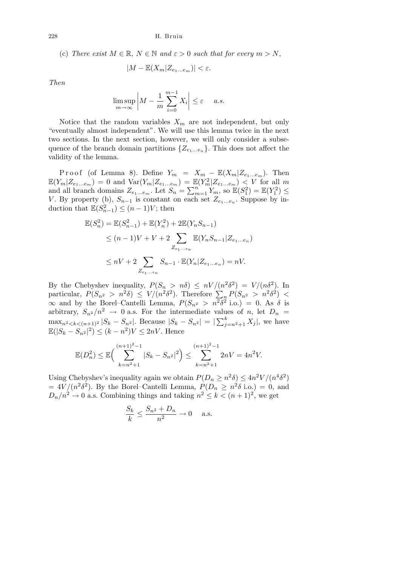(c) *There exist*  $M \in \mathbb{R}$ ,  $N \in \mathbb{N}$  and  $\varepsilon > 0$  such that for every  $m > N$ ,

$$
|M - \mathbb{E}(X_m | Z_{e_1...e_m})| < \varepsilon.
$$

*Then*

$$
\limsup_{m \to \infty} \left| M - \frac{1}{m} \sum_{i=0}^{m-1} X_i \right| \le \varepsilon \quad a.s.
$$

Notice that the random variables  $X_m$  are not independent, but only "eventually almost independent". We will use this lemma twice in the next two sections. In the next section, however, we will only consider a subsequence of the branch domain partitions  $\{Z_{e_1...e_n}\}$ . This does not affect the validity of the lemma.

Proof (of Lemma 8). Define  $Y_m = X_m - \mathbb{E}(X_m | Z_{e_1...e_m})$ . Then  $\mathbb{E}(Y_m | Z_{e_1...e_m}) = 0$  and  $\text{Var}(Y_m | Z_{e_1...e_m}) = \mathbb{E}(Y_m^2 | Z_{e_1...e_m}) < V$  for all m  $\mathbb{E}(T_m | Z_{e_1...e_m}) = 0$  and  $\text{var}(T_m | Z_{e_1...e_m}) = \mathbb{E}$ <br>and all branch domains  $Z_{e_1...e_m}$ . Let  $S_n = \sum_{n=1}^n$  $_{m=1}^{n} Y_m$ , so  $\mathbb{E}(S_1^2) = \mathbb{E}(Y_1^2) \leq$ *V*. By property (b),  $S_{n-1}$  is constant on each set  $Z_{e_1...e_n}$ . Suppose by induction that  $\mathbb{E}(S_{n-1}^2) \leq (n-1)V$ ; then

$$
\mathbb{E}(S_n^2) = \mathbb{E}(S_{n-1}^2) + \mathbb{E}(Y_n^2) + 2\mathbb{E}(Y_n S_{n-1})
$$
  
\n
$$
\leq (n-1)V + V + 2 \sum_{Z_{e_1...e_n}} \mathbb{E}(Y_n S_{n-1} | Z_{e_1...e_n})
$$
  
\n
$$
\leq nV + 2 \sum_{Z_{e_1...e_n}} S_{n-1} \cdot \mathbb{E}(Y_n | Z_{e_1...e_n}) = nV.
$$

By the Chebyshev inequality,  $P(S_n > n\delta) \leq nV/(n^2\delta^2) = V/(n\delta^2)$ . In by the Chebyshev inequality,  $P(S_n > n\sigma) \leq nV/(n\sigma) = V/(n\sigma)$ . In<br>particular,  $P(S_{n^2} > n^2\delta) \leq V/(n^2\delta^2)$ . Therefore  $\sum_n P(S_{n^2} > n^2\delta^2)$  $\infty$  and by the Borel–Cantelli Lemma,  $P(S_{n^2} > n^2\delta^2)$  i.o.) = 0. As δ is arbitrary,  $S_{n^2}/n^2 \rightarrow 0$  a.s. For the intermediate values of *n*, let  $D_n =$  $\max_{n \geq 2} \frac{1}{k} \left( \frac{n}{n+1} \right)^2 |S_k - S_{n^2}|.$  Because  $|S_k - S_{n^2}| = |\sum_{i=1}^k S_i|$  $\sum_{j=n^2+1}^{\kappa} X_j$ , we have  $\mathbb{E}(|S_k - S_{n^2}|^2) \le (k - n^2)V \le 2nV$ . Hence

$$
\mathbb{E}(D_n^2) \le \mathbb{E}\Big(\sum_{k=n^2+1}^{(n+1)^2-1} |S_k - S_{n^2}|^2\Big) \le \sum_{k=n^2+1}^{(n+1)^2-1} 2nV = 4n^2V.
$$

Using Chebyshev's inequality again we obtain  $P(D_n \ge n^2 \delta) \le 4n^2 V/(n^4 \delta^2)$  $= 4V/(n^2\delta^2)$ . By the Borel–Cantelli Lemma,  $P(D_n \ge n^2\delta \text{ i.o.}) = 0$ , and  $D_n/n^2 \to 0$  a.s. Combining things and taking  $n^2 \leq k < (n+1)^2$ , we get

$$
\frac{S_k}{k} \le \frac{S_{n^2} + D_n}{n^2} \to 0 \quad \text{a.s.}
$$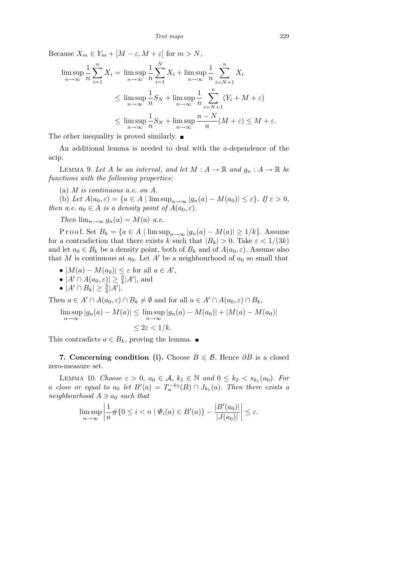Because  $X_m \in Y_m + [M - \varepsilon, M + \varepsilon]$  for  $m > N$ ,

$$
\limsup_{n \to \infty} \frac{1}{n} \sum_{i=1}^{n} X_i = \limsup_{n \to \infty} \frac{1}{n} \sum_{i=1}^{N} X_i + \limsup_{n \to \infty} \frac{1}{n} \sum_{i=N+1}^{n} X_i
$$
  
\n
$$
\leq \limsup_{n \to \infty} \frac{1}{n} S_N + \limsup_{n \to \infty} \frac{1}{n} \sum_{i=N+1}^{n} (Y_i + M + \varepsilon)
$$
  
\n
$$
\leq \limsup_{n \to \infty} \frac{1}{n} S_N + \limsup_{n \to \infty} \frac{n - N}{n} (M + \varepsilon) \leq M + \varepsilon.
$$

The other inequality is proved similarly.  $\blacksquare$ 

An additional lemma is needed to deal with the *a*-dependence of the acip.

LEMMA 9. Let *A* be an interval, and let  $M : A \to \mathbb{R}$  and  $g_n : A \to \mathbb{R}$  be *functions with the following properties*:

(a) *M is continuous a.e. on A.*

(b) Let  $A(a_0, \varepsilon) = \{a \in A \mid \limsup_{n \to \infty} |g_n(a) - M(a_0)| \leq \varepsilon\}$ . If  $\varepsilon > 0$ , *then a.e.*  $a_0 \in A$  *is a density point of*  $A(a_0, \varepsilon)$ *.* 

*Then*  $\lim_{n\to\infty} g_n(a) = M(a)$  *a.e.* 

Proof. Set  $B_k = \{a \in A \mid \limsup_{n \to \infty} |g_n(a) - M(a)| \geq 1/k\}$ . Assume for a contradiction that there exists *k* such that  $|B_k| > 0$ . Take  $\varepsilon < 1/(3k)$ and let  $a_0 \in B_k$  be a density point, both of  $B_k$  and of  $A(a_0, \varepsilon)$ . Assume also that *M* is continuous at  $a_0$ . Let *A'* be a neighbourhood of  $a_0$  so small that

- $\bullet$   $|M(a) M(a_0)| \leq \varepsilon$  for all  $a \in A'$ ,
- $|A' \cap A(a_0, \varepsilon)| \geq \frac{3}{4}|A'|$ , and
- $\bullet$   $|A' \cap B_k| \geq \frac{3}{4}|A'|$ .

Then  $a \in A' \cap A(a_0, \varepsilon) \cap B_k \neq \emptyset$  and for all  $a \in A' \cap A(a_0, \varepsilon) \cap B_k$ ,

$$
\limsup_{n \to \infty} |g_n(a) - M(a)| \le \limsup_{n \to \infty} |g_n(a) - M(a_0)| + |M(a) - M(a_0)|
$$
  

$$
\le 2\varepsilon < 1/k.
$$

This contradicts  $a \in B_k$ , proving the lemma. ■

**7. Concerning condition (i).** Choose  $B \in \mathcal{B}$ . Hence  $\partial B$  is a closed zero-measure set.

LEMMA 10. *Choose*  $\varepsilon > 0$ ,  $a_0 \in \mathcal{A}$ ,  $k_1 \in \mathbb{N}$  and  $0 \leq k_2 < s_{k_1}(a_0)$ *. For a close or equal to*  $a_0$  *<i>let*  $B'(a) = T_a^{-k_2}(B) \cap J_{k_1}(a)$ *. Then there exists a neighbourhood*  $A \ni a_0$  *such that* l,

$$
\limsup_{n\to\infty}\left|\frac{1}{n}\#\{0\leq i < n \mid \varPhi_i(a)\in B'(a)\}-\frac{|B'(a_0)|}{|J(a_0)|}\right|\leq \varepsilon.
$$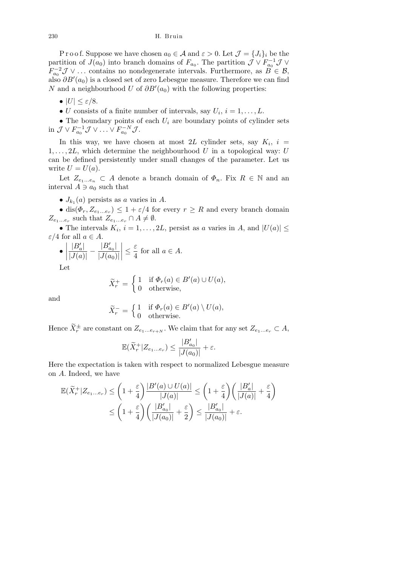P r o o f. Suppose we have chosen  $a_0 \in \mathcal{A}$  and  $\varepsilon > 0$ . Let  $\mathcal{J} = \{J_i\}_i$  be the partition of *J*(*a*<sub>0</sub>) into branch domains of  $F_{a_0}$ . The partition  $\mathcal{J} \vee F_{a_0}^{-1} \mathcal{J} \vee$ *F*<sub> $a_0$ </sub><sup>−2</sup> *J* ∨ ... contains no nondegenerate intervals. Furthermore, as *B*  $\in$  *B*, also  $\partial B'(a_0)$  is a closed set of zero Lebesgue measure. Therefore we can find *N* and a neighbourhood *U* of  $\partial B'(a_0)$  with the following properties:

- $\bullet$   $|U| \leq \varepsilon/8.$
- *U* consists of a finite number of intervals, say  $U_i$ ,  $i = 1, \ldots, L$ .

*•* The boundary points of each *U<sup>i</sup>* are boundary points of cylinder sets in  $\mathcal{J} \vee F_{a_0}^{-1} \mathcal{J} \vee \ldots \vee F_{a_0}^{-N} \mathcal{J}$ .

In this way, we have chosen at most 2L cylinder sets, say  $K_i$ ,  $i =$  $1, \ldots, 2L$ , which determine the neighbourhood *U* in a topological way: *U* can be defined persistently under small changes of the parameter. Let us write  $U = U(a)$ .

Let  $Z_{e_1...e_n} \subset A$  denote a branch domain of  $\Phi_n$ . Fix  $R \in \mathbb{N}$  and an interval  $A \ni a_0$  such that

•  $J_{k_1}(a)$  persists as *a* varies in *A*.

• dis( $\Phi_r, Z_{e_1...e_r}$ )  $\leq 1 + \varepsilon/4$  for every  $r \geq R$  and every branch domain  $Z_{e_1...e_r}$  such that  $Z_{e_1...e_r} \cap A \neq \emptyset$ .

• The intervals  $K_i$ ,  $i = 1, ..., 2L$ , persist as *a* varies in *A*, and  $|U(a)| \le$ *ε*/4 for all  $a \in A$ . l,

$$
\bullet \left| \frac{|B'_a|}{|J(a)|} - \frac{|B'_{a_0}|}{|J(a_0)|} \right| \le \frac{\varepsilon}{4} \text{ for all } a \in A.
$$

Let

$$
\widetilde{X}_r^+ = \begin{cases} 1 & \text{if } \Phi_r(a) \in B'(a) \cup U(a), \\ 0 & \text{otherwise,} \end{cases}
$$

and

$$
\widetilde{X}_r^- = \begin{cases} 1 & \text{if } \Phi_r(a) \in B'(a) \setminus U(a), \\ 0 & \text{otherwise.} \end{cases}
$$

Hence  $\widetilde{X}_r^{\pm}$  are constant on  $Z_{e_1...e_{r+N}}$ . We claim that for any set  $Z_{e_1...e_r} \subset A$ ,

$$
\mathbb{E} \big( \widetilde{X}^+_r | Z_{e_1...e_r} \big) \leq \frac{|B'_{a_0}|}{|J(a_0)|} + \varepsilon.
$$

Here the expectation is taken with respect to normalized Lebesgue measure on *A*. Indeed, we have

$$
\begin{aligned} \mathbb{E}(\widetilde{X}^+_r|Z_{e_1...e_r}) &\leq \left(1+\frac{\varepsilon}{4}\right)\frac{|B'(a)\cup U(a)|}{|J(a)|} \leq \left(1+\frac{\varepsilon}{4}\right)\left(\frac{|B'_a|}{|J(a)|}+\frac{\varepsilon}{4}\right)\\ &\leq \left(1+\frac{\varepsilon}{4}\right)\left(\frac{|B'_{a_0}|}{|J(a_0)|}+\frac{\varepsilon}{2}\right)\leq \frac{|B'_{a_0}|}{|J(a_0)|}+\varepsilon.\end{aligned}
$$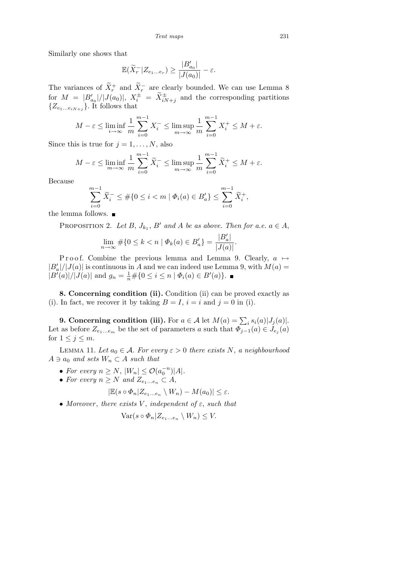Similarly one shows that

$$
\mathbb{E}(\widetilde{X}_r^-|Z_{e_1...e_r})\geq \frac{|B'_{a_0}|}{|J(a_0)|}-\varepsilon.
$$

The variances of  $\widetilde{X}^+_r$  and  $\widetilde{X}^-_r$  are clearly bounded. We can use Lemma 8 for  $M = |B'_{a_0}|/|J(a_0)|$ ,  $X_i^{\pm} = \tilde{X}_{iN+j}^{\pm}$  and the corresponding partitions  $\{Z_{e_1\dots e_iN+j}\}$ . It follows that

$$
M - \varepsilon \le \liminf_{i \to \infty} \frac{1}{m} \sum_{i=0}^{m-1} X_i^- \le \limsup_{m \to \infty} \frac{1}{m} \sum_{i=0}^{m-1} X_i^+ \le M + \varepsilon.
$$

Since this is true for  $j = 1, \ldots, N$ , also

$$
M - \varepsilon \le \liminf_{m \to \infty} \frac{1}{m} \sum_{i=0}^{m-1} \widetilde{X}_i^- \le \limsup_{m \to \infty} \frac{1}{m} \sum_{i=0}^{m-1} \widetilde{X}_i^+ \le M + \varepsilon.
$$

Because

$$
\sum_{i=0}^{m-1} \widetilde{X}_i^- \leq \#\{0 \leq i < m \mid \varPhi_i(a) \in B'_a\} \leq \sum_{i=0}^{m-1} \widetilde{X}_i^+,
$$

the lemma follows.

PROPOSITION 2. Let  $B$ ,  $J_{k_1}$ ,  $B'$  and  $A$  be as above. Then for a.e.  $a \in A$ ,

$$
\lim_{n \to \infty} \# \{ 0 \le k < n \mid \Phi_k(a) \in B'_a \} = \frac{|B'_a|}{|J(a)|}.
$$

Proof. Combine the previous lemma and Lemma 9. Clearly, *a* →  $|B'_a|/|J(a)|$  is continuous in *A* and we can indeed use Lemma 9, with  $M(a)$  =  $|B'(a)|/|J(a)|$  and  $g_n = \frac{1}{n} \# \{0 \le i \le n \mid \Phi_i(a) \in B'(a)\}.$ 

**8. Concerning condition (ii).** Condition (ii) can be proved exactly as (i). In fact, we recover it by taking  $B = I$ ,  $i = i$  and  $j = 0$  in (i).

**9. Concerning condition (iii).** For  $a \in \mathcal{A}$  let  $M(a) = \sum_i s_i(a)|J_j(a)|$ . Let as before  $Z_{e_1...e_m}$  be the set of parameters *a* such that  $\Phi_{j-1}(a) \in J_{e_j}(a)$ for  $1 \leq j \leq m$ .

LEMMA 11. Let  $a_0 \in \mathcal{A}$ . For every  $\varepsilon > 0$  there exists N, a neighbourhood  $A \ni a_0$  *and sets*  $W_n \subset A$  *such that* 

- *• For every*  $n \ge N$ ,  $|W_n| \le O(a_0^{-n})|A|$ *.*
- For every  $n \geq N$  and  $Z_{e_1...e_n} \subset A$ ,

$$
|\mathbb{E}(s \circ \Phi_n | Z_{e_1...e_n} \setminus W_n) - M(a_0)| \leq \varepsilon.
$$

 $\bullet$  *Moreover*, *there exists V*, *independent of*  $\varepsilon$ *, such that* 

$$
\text{Var}(s \circ \Phi_n | Z_{e_1...e_n} \setminus W_n) \leq V.
$$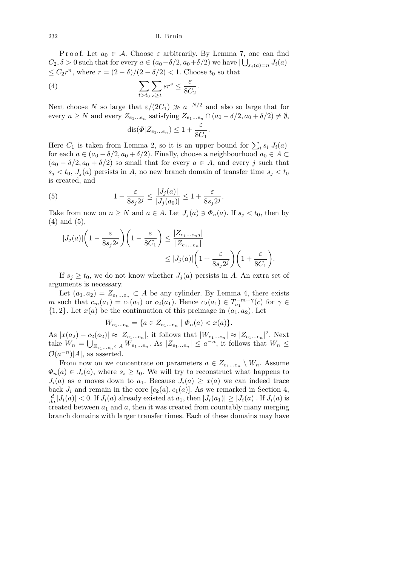P r o o f. Let  $a_0 \in \mathcal{A}$ . Choose  $\varepsilon$  arbitrarily. By Lemma 7, one can find  $C_2, \delta > 0$  such that for every  $a \in (a_0 - \delta/2, a_0 + \delta/2)$  we have  $|\bigcup_{s_j(a)=n} J_i(a)|$  $\leq$  *C*<sub>2</sub> $r$ <sup>*n*</sup>, where  $r = (2 - \delta)/(2 - \delta/2) < 1$ . Choose  $t_0$  so that

$$
(4) \qquad \qquad \sum_{t>t_0} \sum_{s\geq t} sr^s \leq \frac{\varepsilon}{8C_2}.
$$

Next choose *N* so large that  $\varepsilon/(2C_1) \gg a^{-N/2}$  and also so large that for every  $n \geq N$  and every  $Z_{e_1...e_n}$  satisfying  $Z_{e_1...e_n} \cap (a_0 - \delta/2, a_0 + \delta/2) \neq \emptyset$ ,  $dis(\Phi|Z_{e_1...e_n}) \leq 1 + \frac{\varepsilon}{\varepsilon}$  $\frac{c}{8C_1}$ .

Here  $C_1$  is taken from Lemma 2, so it is an upper bound for  $\sum_i s_i |J_i(a)|$ for each  $a \in (a_0 - \delta/2, a_0 + \delta/2)$ . Finally, choose a neighbourhood  $a_0 \in A \subset$  $(a_0 - \delta/2, a_0 + \delta/2)$  so small that for every  $a \in A$ , and every *j* such that  $s_j < t_0$ ,  $J_j(a)$  persists in *A*, no new branch domain of transfer time  $s_j < t_0$ is created, and

(5) 
$$
1 - \frac{\varepsilon}{8s_j 2^j} \le \frac{|J_j(a)|}{|J_j(a_0)|} \le 1 + \frac{\varepsilon}{8s_j 2^j}.
$$

Take from now on  $n \geq N$  and  $a \in A$ . Let  $J_i(a) \ni \Phi_n(a)$ . If  $s_i < t_0$ , then by (4) and (5),

$$
|J_j(a)| \left(1 - \frac{\varepsilon}{8s_j 2^j}\right) \left(1 - \frac{\varepsilon}{8C_1}\right) \le \frac{|Z_{e_1...e_nj}|}{|Z_{e_1...e_n}|} \le |J_j(a)| \left(1 + \frac{\varepsilon}{8s_j 2^j}\right) \left(1 + \frac{\varepsilon}{8C_1}\right).
$$

If  $s_j \geq t_0$ , we do not know whether  $J_j(a)$  persists in *A*. An extra set of arguments is necessary.

Let  $(a_1, a_2) = Z_{e_1...e_n} \subset A$  be any cylinder. By Lemma 4, there exists *m* such that  $c_m(a_1) = c_1(a_1)$  or  $c_2(a_1)$ . Hence  $c_2(a_1) \in T_{a_1}^{-m+\gamma}(c)$  for  $\gamma \in$  ${1, 2}$ . Let  $x(a)$  be the continuation of this preimage in  $(a_1, a_2)$ . Let

$$
W_{e_1...e_n} = \{ a \in Z_{e_1...e_n} \mid \Phi_n(a) < x(a) \}.
$$

As  $|x(a_2) - c_2(a_2)| \approx |Z_{e_1...e_n}|$ , it follows that  $|W_{e_1...e_n}| \approx |Z_{e_1...e_n}|^2$ . Next take  $W_n =$  $\frac{c_2}{\cdot}$  $Z_{e_1...e_n} \subset A$  *W*<sub>e1</sub>...e<sub>n</sub></sub>. As  $|Z_{e_1...e_n}| \leq a^{-n}$ , it follows that  $W_n \leq$  $\mathcal{O}(a^{-n})$ |*A*|, as asserted.

From now on we concentrate on parameters  $a \in Z_{e_1...e_n} \setminus W_n$ . Assume  $\Phi_n(a) \in J_i(a)$ , where  $s_i \geq t_0$ . We will try to reconstruct what happens to *J*<sub>*i*</sub>(*a*) as *a* moves down to *a*<sub>1</sub>. Because  $J_i(a) \geq x(a)$  we can indeed trace back  $J_i$  and remain in the core  $[c_2(a), c_1(a)]$ . As we remarked in Section 4,  $\frac{d}{da}|J_i(a)| < 0$ . If  $J_i(a)$  already existed at  $a_1$ , then  $|J_i(a_1)| \geq |J_i(a)|$ . If  $J_i(a)$  is created between  $a_1$  and  $a$ , then it was created from countably many merging branch domains with larger transfer times. Each of these domains may have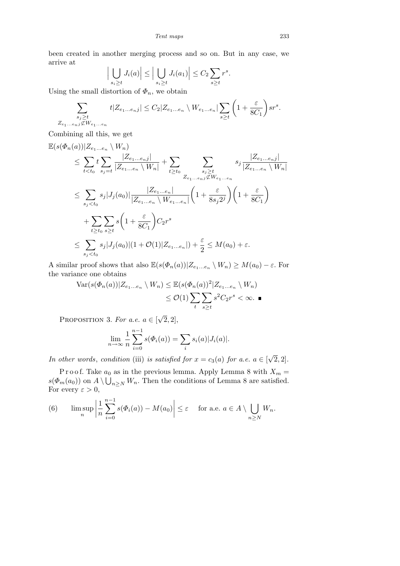been created in another merging process and so on. But in any case, we arrive at l,  $\mathbf{r}$  $\overline{1}$ l,  $\mathbf{r}$ l,  $\overline{\phantom{a}}$ 

$$
\Big|\bigcup_{s_i \ge t} J_i(a)\Big| \le \Big|\bigcup_{s_i \ge t} J_i(a_1)\Big| \le C_2 \sum_{s \ge t} r^s.
$$

Using the small distortion of  $\Phi_n$ , we obtain

$$
\sum_{\substack{s_j \ge t \\ Z_{e_1...e_nj} \not\subset W_{e_1...e_n}}} t|Z_{e_1...e_nj}| \le C_2 |Z_{e_1...e_n} \setminus W_{e_1...e_n}| \sum_{s \ge t} \left(1 + \frac{\varepsilon}{8C_1}\right) sr^s.
$$

Combining all this, we get

$$
\mathbb{E}(s(\Phi_n(a))|Z_{e_1...e_n} \setminus W_n)
$$
\n
$$
\leq \sum_{t < t_0} t \sum_{s_j=t} \frac{|Z_{e_1...e_nj}|}{|Z_{e_1...e_n} \setminus W_n|} + \sum_{t \geq t_0} \sum_{\substack{s_j \geq t \\ Z_{e_1...e_n} \notin W_{e_1...e_n}}} s_j \frac{|Z_{e_1...e_n}|}{|Z_{e_1...e_n} \setminus W_n|}
$$
\n
$$
\leq \sum_{s_j < t_0} s_j |J_j(a_0)| \frac{|Z_{e_1...e_n}|}{|Z_{e_1...e_n} \setminus W_{e_1...e_n}|} \left(1 + \frac{\varepsilon}{8s_j 2^j}\right) \left(1 + \frac{\varepsilon}{8C_1}\right)
$$
\n
$$
+ \sum_{t \geq t_0} \sum_{s \geq t} s \left(1 + \frac{\varepsilon}{8C_1}\right) C_2 r^s
$$
\n
$$
\leq \sum_{s_j < t_0} s_j |J_j(a_0)| (1 + \mathcal{O}(1)|Z_{e_1...e_n}|) + \frac{\varepsilon}{2} \leq M(a_0) + \varepsilon.
$$

A similar proof shows that also  $\mathbb{E}(s(\Phi_n(a))|Z_{e_1...e_n} \setminus W_n) \geq M(a_0) - \varepsilon$ . For the variance one obtains

$$
\operatorname{Var}(s(\Phi_n(a))|Z_{e_1...e_n} \setminus W_n) \leq \mathbb{E}(s(\Phi_n(a))^2|Z_{e_1...e_n} \setminus W_n)
$$
  

$$
\leq \mathcal{O}(1) \sum_{t} \sum_{s \geq t} s^2 C_2 r^s < \infty. \blacksquare
$$

PROPOSITION 3. For a.e.  $a \in \lbrack$ *√*  $\overline{2}, 2$ ],

$$
\lim_{n \to \infty} \frac{1}{n} \sum_{i=0}^{n-1} s(\Phi_i(a)) = \sum_i s_i(a) |J_i(a)|.
$$

*In other words, condition* (iii) *is satisfied for*  $x = c_3(a)$  *for a.e.*  $a \in [$ *√*  $\overline{2}, 2$ ].

P r o o f. Take  $a_0$  as in the previous lemma. Apply Lemma 8 with  $X_m =$  $s(\Phi_m(a_0))$  on  $A \setminus \bigcup_{n \geq N} W_n$ . Then the conditions of Lemma 8 are satisfied. For every  $\varepsilon > 0$ ,

(6) 
$$
\limsup_{n} \left| \frac{1}{n} \sum_{i=0}^{n-1} s(\Phi_i(a)) - M(a_0) \right| \leq \varepsilon \quad \text{for a.e. } a \in A \setminus \bigcup_{n \geq N} W_n.
$$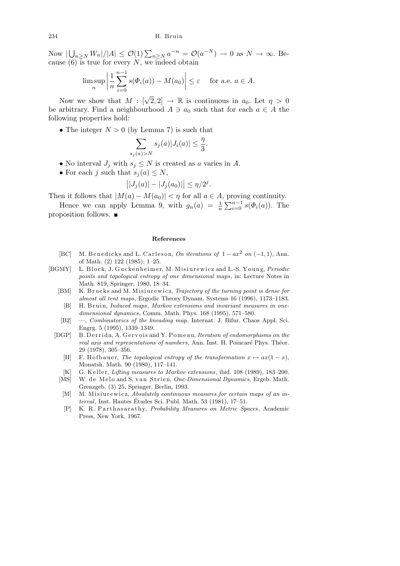Now *|*  $\bigcup_{n\geq N} W_n |A| \leq \mathcal{O}(1) \sum_{n\geq N} a^{-n} = \mathcal{O}(a^{-N}) \to 0$  as  $N \to \infty$ . Because  $(6)$  is true for every *N*, we indeed obtain

$$
\limsup_{n} \left| \frac{1}{n} \sum_{i=0}^{n-1} s(\Phi_i(a)) - M(a_0) \right| \le \varepsilon \quad \text{ for a.e. } a \in A.
$$

Now we show that  $M : [\sqrt{2}, 2] \rightarrow \mathbb{R}$  is continuous in  $a_0$ . Let  $\eta > 0$ be arbitrary. Find a neighbourhood  $A \ni a_0$  such that for each  $a \in A$  the following properties hold:

*•* The integer *N >* 0 (by Lemma 7) is such that

$$
\sum_{s_j(a)>N} s_j(a)|J_i(a)| \leq \frac{\eta}{3}.
$$

- No interval  $J_j$  with  $s_j \leq N$  is created as *a* varies in *A*.
- For each *j* such that  $s_j(a) \leq N$ ,

$$
\left| |J_j(a)| - |J_j(a_0)| \right| \le \eta/2^j.
$$

Then it follows that  $|M(a) - M(a_0)| < \eta$  for all  $a \in A$ , proving continuity.

Hence we can apply Lemma 9, with  $g_n(a) = \frac{1}{n}$  $P^{\text{IOVI}}$  $\sum_{i=0}^{n-1} s(\Phi_i(a))$ . The proposition follows.

#### **References**

- [BC] M. Benedicks and L. Carleson, *On iterations of*  $1 ax^2$  *on* (-1,1), Ann. of Math. (2) 122 (1985), 1–25.
- [BGMY] L. Block, J. Guckenheimer, M. Misiurewicz and L.-S. Young, *Periodic points and topological entropy of one dimensional maps*, in: Lecture Notes in Math. 819, Springer, 1980, 18–34.
	- [BM] K. Brucks and M. Misiurewicz, *Trajectory of the turning point is dense for almost all tent maps*, Ergodic Theory Dynam. Systems 16 (1996), 1173–1183.
	- [B] H. Bruin, *Induced maps*, *Markov extensions and invariant measures in onedimensional dynamics*, Comm. Math. Phys. 168 (1995), 571–580.
	- [B2] —, *Combinatorics of the kneading map*, Internat. J. Bifur. Chaos Appl. Sci. Engrg. 5 (1995), 1339–1349.
	- [DGP] B. Derrida, A. Gervois and Y. Pomeau, *Iteration of endomorphisms on the real axis and representations of numbers*, Ann. Inst. H. Poincaré Phys. Théor. 29 (1978), 305–356.
		- [H] F. Hofbauer, *The topological entropy of the transformation*  $x \mapsto ax(1-x)$ , Monatsh. Math. 90 (1980), 117–141.
		- [K] G. Keller, *Litting measures to Markov extensions*, ibid. 108 (1989), 183–200.
		- [MS] W. de Melo and S. van Strien, *One-Dimensional Dynamics*, Ergeb. Math. Grenzgeb. (3) 25, Springer, Berlin, 1993.
		- [M] M. Misiurewicz, *Absolutely continuous measures for certain maps of an interval*, Inst. Hautes Etudes Sci. Publ. Math. 53 (1981), 17–51. ´
		- [P] K. R. P a r t h a s a r a t h y, *Probability Measures on Metric Spaces*, Academic Press, New York, 1967.